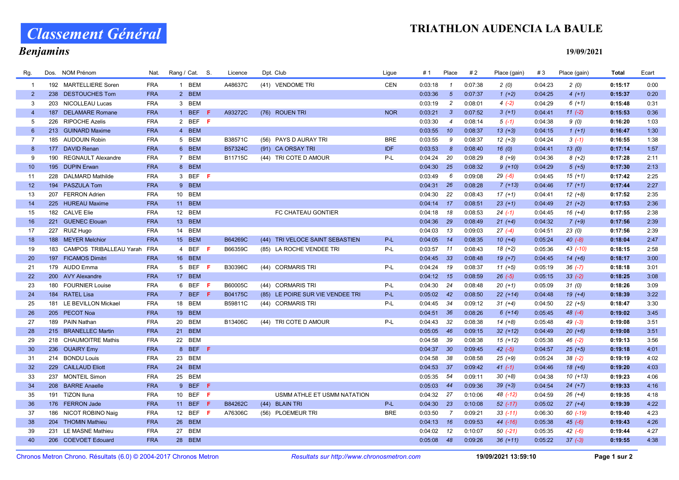### TRIATHLON AUDENCIA LA BAULE

# Classement Général

# Benjamins

19/09/2021

| Rg.            | Dos. | NOM Prénom                      | Nat.       | Rang / Cat. S. |     | Licence        | Dpt. Club                        | Ligue      | # 1          | Place            | #2      | Place (gain) | #3      | Place (gain) | <b>Total</b> | Ecart |
|----------------|------|---------------------------------|------------|----------------|-----|----------------|----------------------------------|------------|--------------|------------------|---------|--------------|---------|--------------|--------------|-------|
|                |      | 192 MARTELLIERE Soren           | <b>FRA</b> | 1 BEM          |     | A48637C        | (41) VENDOME TRI                 | <b>CEN</b> | 0:03:18      | $\overline{1}$   | 0:07:38 | 2(0)         | 0:04:23 | 2(0)         | 0:15:17      | 0:00  |
| $2^{\circ}$    |      | 238 DESTOUCHES Tom              | <b>FRA</b> | 2 BEM          |     |                |                                  |            | 0:03:36      | $5\overline{5}$  | 0:07:37 | $1 (+2)$     | 0:04:25 | $4(+1)$      | 0:15:37      | 0:20  |
| 3              |      | 203 NICOLLEAU Lucas             | <b>FRA</b> | 3 BEM          |     |                |                                  |            | 0:03:19      | $\overline{c}$   | 0:08:01 | $4(-2)$      | 0:04:29 | $6(+1)$      | 0:15:48      | 0:31  |
| $\overline{4}$ | 187  | <b>DELAMARE Romane</b>          | <b>FRA</b> | 1 BEF          | -F. | A93272C        | (76) ROUEN TRI                   | <b>NOR</b> | 0:03:21      | $\mathbf{3}$     | 0:07:52 | $3(+1)$      | 0:04:41 | $11(-2)$     | 0:15:53      | 0:36  |
| 5              |      | 226 RIPOCHE Azelis              | <b>FRA</b> | 2 BEF F        |     |                |                                  |            | 0:03:30      | $\overline{4}$   | 0:08:14 | $5(-1)$      | 0:04:38 | 9(0)         | 0:16:20      | 1:03  |
| 6              |      | 213 GUINARD Maxime              | <b>FRA</b> | 4 BEM          |     |                |                                  |            | 0:03:55      | 10 <sup>10</sup> | 0:08:37 | $13(+3)$     | 0:04:15 | $1(+1)$      | 0:16:47      | 1:30  |
| $\overline{7}$ |      | 185 AUDOUIN Robin               | <b>FRA</b> | 5 BEM          |     | B38571C        | (56) PAYS D AURAY TRI            | <b>BRE</b> | 0:03:55      | 9                | 0:08:37 | $12 (+3)$    | 0:04:24 | $3(-1)$      | 0:16:55      | 1:38  |
| 8              | 177  | <b>DAVID Renan</b>              | <b>FRA</b> | 6 BEM          |     | B57324C        | (91) CA ORSAY TRI                | <b>IDF</b> | 0:03:53      | 8                | 0:08:40 | 16(0)        | 0:04:41 | 13(0)        | 0:17:14      | 1:57  |
| 9              | 190  | <b>REGNAULT Alexandre</b>       | <b>FRA</b> | 7 BEM          |     | B11715C        | (44) TRI COTE D AMOUR            | P-L        | 0:04:24      | 20               | 0:08:29 | $8(+9)$      | 0:04:36 | $8(+2)$      | 0:17:28      | 2:11  |
| 10             |      | 195 DUPIN Erwan                 | <b>FRA</b> | 8 BEM          |     |                |                                  |            | 0:04:30      | 25               | 0:08:32 | $9(+10)$     | 0:04:29 | $5(+5)$      | 0:17:30      | 2:13  |
| 11             |      | 228 DALMARD Mathilde            | <b>FRA</b> | 3 BEF F        |     |                |                                  |            | 0:03:49      | 6                | 0:09:08 | $29(-6)$     | 0:04:45 | $15 (+1)$    | 0:17:42      | 2:25  |
| 12             |      | 194 PASZULA Tom                 | <b>FRA</b> | 9 BEM          |     |                |                                  |            | $0:04:31$ 26 |                  | 0:08:28 | $7(+13)$     | 0:04:46 | $17(+1)$     | 0:17:44      | 2:27  |
| 13             |      | 207 FERRON Adrien               | <b>FRA</b> | 10 BEM         |     |                |                                  |            | 0:04:30      | 22               | 0:08:43 | $17(+1)$     | 0:04:41 | $12 (+8)$    | 0:17:52      | 2:35  |
| 14             |      | 225 HUREAU Maxime               | <b>FRA</b> | 11 BEM         |     |                |                                  |            | $0:04:14$ 17 |                  | 0:08:51 | $23 (+1)$    | 0:04:49 | $21 (+2)$    | 0:17:53      | 2:36  |
| 15             |      | 182 CALVE Elie                  | <b>FRA</b> | 12 BEM         |     |                | FC CHATEAU GONTIER               |            | $0:04:18$ 18 |                  | 0:08:53 | $24( -1)$    | 0:04:45 | $16 (+4)$    | 0:17:55      | 2:38  |
| 16             |      | 221 GUENEC Elouan               | <b>FRA</b> | 13 BEM         |     |                |                                  |            | $0:04:36$ 29 |                  | 0:08:49 | $21 (+4)$    | 0:04:32 | $7(+9)$      | 0:17:56      | 2:39  |
| 17             |      | 227 RUIZ Hugo                   | <b>FRA</b> | 14 BEM         |     |                |                                  |            | 0:04:03      | 13               | 0:09:03 | $27(-4)$     | 0:04:51 | 23(0)        | 0:17:56      | 2:39  |
| 18             |      | 188 MEYER Melchior              | <b>FRA</b> | 15 BEM         |     | B64269C        | (44) TRI VELOCE SAINT SEBASTIEN  | P-L        | $0:04:05$ 14 |                  | 0:08:35 | $10(+4)$     | 0:05:24 | $40(-8)$     | 0:18:04      | 2:47  |
| 19             |      | 183 CAMPOS TRIBALLEAU Yarah FRA |            | 4 BEF F        |     | B66359C        | (85) LA ROCHE VENDEE TRI         | $P-L$      | 0:03:57      | 11               | 0:08:43 | $18(+2)$     | 0:05:36 | 43 (-10)     | 0:18:15      | 2:58  |
| 20             |      | 197 FICAMOS Dimitri             | <b>FRA</b> | 16 BEM         |     |                |                                  |            | $0:04:45$ 33 |                  | 0:08:48 | $19(+7)$     | 0:04:45 | $14(+6)$     | 0:18:17      | 3:00  |
| 21             |      | 179 AUDO Emma                   | <b>FRA</b> | 5 BEF          | - F | B30396C        | (44) CORMARIS TRI                | P-L        | $0:04:24$ 19 |                  | 0:08:37 | $11 (+5)$    | 0:05:19 | $36(-7)$     | 0:18:18      | 3:01  |
| 22             |      | 200 AVY Alexandre               | <b>FRA</b> | 17 BEM         |     |                |                                  |            | $0:04:12$ 15 |                  | 0:08:59 | $26(-5)$     | 0:05:15 | $33(-2)$     | 0:18:25      | 3:08  |
| 23             | 180  | <b>FOURNIER Louise</b>          | <b>FRA</b> | 6 BEF          | - F | B60005C        | (44) CORMARIS TRI                | $P-L$      | $0:04:30$ 24 |                  | 0:08:48 | $20(+1)$     | 0:05:09 | 31(0)        | 0:18:26      | 3:09  |
| 24             |      | 184 RATEL Lisa                  | <b>FRA</b> | 7 BEF F        |     | <b>B04175C</b> | (85) LE POIRE SUR VIE VENDEE TRI | P-L        | $0:05:02$ 42 |                  | 0:08:50 | $22 (+14)$   | 0:04:48 | $19 (+4)$    | 0:18:39      | 3:22  |
| 25             |      | 181 LE BEVILLON Mickael         | <b>FRA</b> | 18 BEM         |     | B59811C        | (44) CORMARIS TRI                | $P-L$      | 0:04:45      | 34               | 0:09:12 | $31 (+4)$    | 0:04:50 | $22 (+5)$    | 0:18:47      | 3:30  |
| 26             |      | 205 PECOT Noa                   | <b>FRA</b> | 19 BEM         |     |                |                                  |            | $0:04:51$ 36 |                  | 0:08:26 | $6(+14)$     | 0:05:45 | $48(-4)$     | 0:19:02      | 3:45  |
| 27             |      | 189 PAIN Nathan                 | <b>FRA</b> | 20 BEM         |     | B13406C        | (44) TRI COTE D AMOUR            | P-L        | 0:04:43      | 32               | 0:08:38 | $14(+8)$     | 0:05:48 | $49(-3)$     | 0:19:08      | 3:51  |
| 28             |      | 215 BRANELLEC Martin            | <b>FRA</b> | 21 BEM         |     |                |                                  |            | 0:05:05      | 46               | 0:09:15 | $32 (+12)$   | 0:04:49 | $20 (+6)$    | 0:19:08      | 3:51  |
| 29             |      | 218 CHAUMOITRE Mathis           | <b>FRA</b> | 22 BEM         |     |                |                                  |            | 0:04:58      | 39               | 0:08:38 | $15(+12)$    | 0:05:38 | $46(-2)$     | 0:19:13      | 3:56  |
| 30             |      | 236 OUAIRY Emy                  | <b>FRA</b> | 8 BEF F        |     |                |                                  |            | $0:04:37$ 30 |                  | 0:09:45 | $42(-5)$     | 0:04:57 | $25 (+5)$    | 0:19:18      | 4:01  |
| 31             |      | 214 BONDU Louis                 | <b>FRA</b> | 23 BEM         |     |                |                                  |            | 0:04:58      | 38               | 0:08:58 | $25 (+9)$    | 0:05:24 | $38(-2)$     | 0:19:19      | 4:02  |
| 32             |      | 229 CAILLAUD Eliott             | <b>FRA</b> | 24 BEM         |     |                |                                  |            | $0:04:53$ 37 |                  | 0:09:42 | $41(-1)$     | 0:04:46 | $18(+6)$     | 0:19:20      | 4:03  |
| 33             |      | 237 MONTEIL Simon               | <b>FRA</b> | 25 BEM         |     |                |                                  |            | 0:05:35      | 54               | 0:09:11 | $30 (+8)$    | 0:04:38 | $10(+13)$    | 0:19:23      | 4:06  |
| 34             |      | 208 BARRE Anaelle               | <b>FRA</b> | 9 BEF F        |     |                |                                  |            | 0:05:03      | 44               | 0:09:36 | $39 (+3)$    | 0:04:54 | $24 (+7)$    | 0:19:33      | 4:16  |
| 35             |      | 191 TIZON Iluna                 | <b>FRA</b> | 10 BEF         | - F |                | USMM ATHLE ET USMM NATATION      |            | 0:04:32 27   |                  | 0:10:06 | 48 (-12)     | 0:04:59 | $26 (+4)$    | 0:19:35      | 4:18  |
| 36             |      | 176 FERRON Jade                 | <b>FRA</b> | 11 BEF         | -F. | B84262C        | (44) BLAIN TRI                   | $P-L$      | 0:04:30      | 23               | 0:10:08 | $52$ $(-17)$ | 0:05:02 | $27 (+4)$    | 0:19:39      | 4:22  |
| 37             | 186  | NICOT ROBINO Naig               | <b>FRA</b> | 12 BEF         | - F | A76306C        | (56) PLOEMEUR TRI                | <b>BRE</b> | 0:03:50      | $\overline{7}$   | 0:09:21 | $33(-11)$    | 0:06:30 | 60 (-19)     | 0:19:40      | 4:23  |
| 38             |      | 204 THOMIN Mathieu              | <b>FRA</b> | 26 BEM         |     |                |                                  |            | $0:04:13$ 16 |                  | 0:09:53 | 44 (-16)     | 0:05:38 | $45(-6)$     | 0:19:43      | 4:26  |
| 39             |      | 231 LE MASNE Mathieu            | <b>FRA</b> | 27 BEM         |     |                |                                  |            | 0:04:02      | 12               | 0:10:07 | $50(-21)$    | 0:05:35 | $42(-6)$     | 0:19:44      | 4:27  |
| 40             |      | 206 COEVOET Edouard             | <b>FRA</b> | 28 BEM         |     |                |                                  |            | $0:05:08$ 48 |                  | 0:09:26 | $36 (+11)$   | 0:05:22 | $37(-3)$     | 0:19:55      | 4:38  |

Chronos Metron Chrono. Résultats (6.0) © 2004-2017 Chronos Metron Resultats sur http://www.chronosmetron.com 19/09/2021 13:59:10 Page 1 sur 2